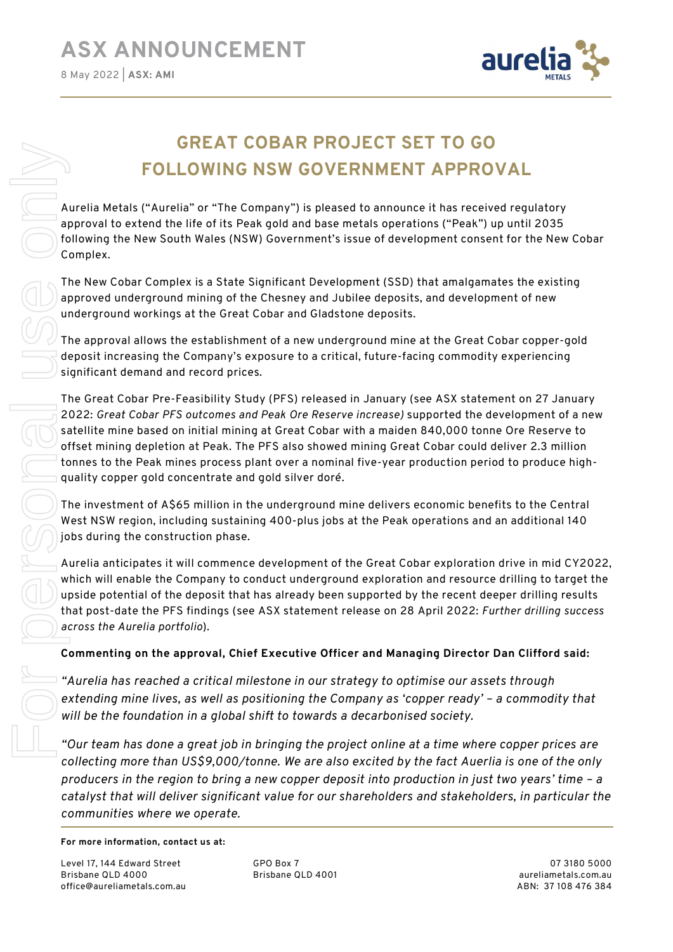

# GREAT COBAR PROJECT SET TO GO FOLLOWING NSW GOVERNMENT APPROVAL

Aurelia Metals ("Aurelia" or "The Company") is pleased to announce it has received regulatory approval to extend the life of its Peak gold and base metals operations ("Peak") up until 2035 following the New South Wales (NSW) Government's issue of development consent for the New Cobar Complex.

The New Cobar Complex is a State Significant Development (SSD) that amalgamates the existing approved underground mining of the Chesney and Jubilee deposits, and development of new underground workings at the Great Cobar and Gladstone deposits.

The approval allows the establishment of a new underground mine at the Great Cobar copper-gold deposit increasing the Company's exposure to a critical, future-facing commodity experiencing significant demand and record prices.

The Great Cobar Pre-Feasibility Study (PFS) released in January (see ASX statement on 27 January 2022: Great Cobar PFS outcomes and Peak Ore Reserve increase) supported the development of a new satellite mine based on initial mining at Great Cobar with a maiden 840,000 tonne Ore Reserve to offset mining depletion at Peak. The PFS also showed mining Great Cobar could deliver 2.3 million tonnes to the Peak mines process plant over a nominal five-year production period to produce highquality copper gold concentrate and gold silver doré.

The investment of A\$65 million in the underground mine delivers economic benefits to the Central West NSW region, including sustaining 400-plus jobs at the Peak operations and an additional 140 jobs during the construction phase.

Aurelia anticipates it will commence development of the Great Cobar exploration drive in mid CY2022, which will enable the Company to conduct underground exploration and resource drilling to target the upside potential of the deposit that has already been supported by the recent deeper drilling results that post-date the PFS findings (see ASX statement release on 28 April 2022: Further drilling success across the Aurelia portfolio).

# Commenting on the approval, Chief Executive Officer and Managing Director Dan Clifford said:

"Aurelia has reached a critical milestone in our strategy to optimise our assets through extending mine lives, as well as positioning the Company as 'copper ready' – a commodity that will be the foundation in a global shift to towards a decarbonised society.

"Our team has done a great job in bringing the project online at a time where copper prices are collecting more than US\$9,000/tonne. We are also excited by the fact Auerlia is one of the only producers in the region to bring a new copper deposit into production in just two years' time – a catalyst that will deliver significant value for our shareholders and stakeholders, in particular the

## For more information, contact us at:

Level 17, 144 Edward Street Brisbane QLD 4000 office@aureliametals.com.au GPO Box 7 Brisbane QLD 4001

07 3180 5000 aureliametals.com.au ABN: 37 108 476 384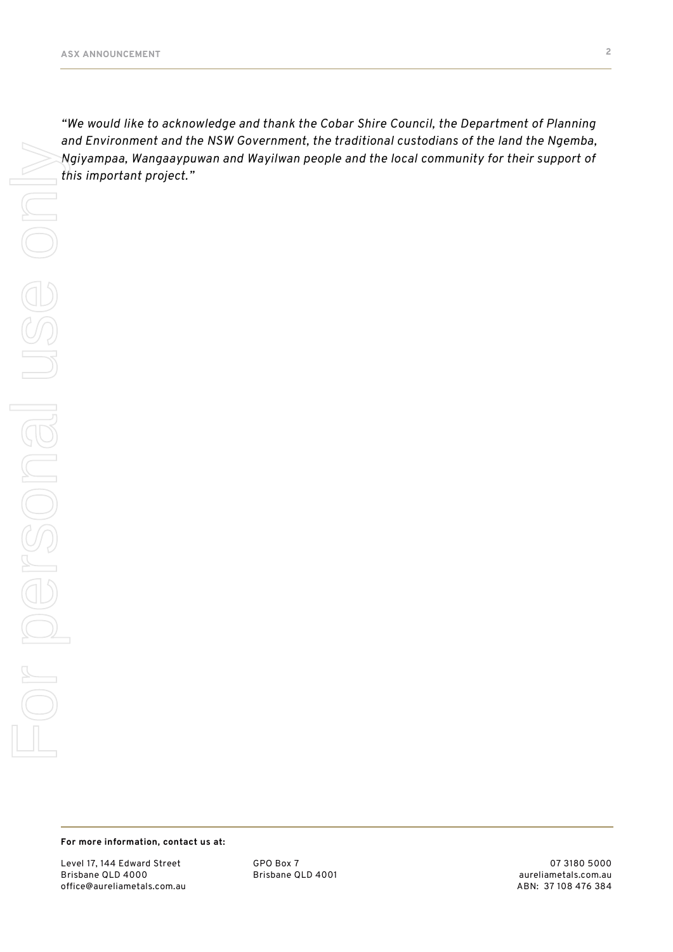"We would like to acknowledge and thank the Cobar Shire Council, the Department of Planning and Environment and the NSW Government, the traditional custodians of the land the Ngemba, Ngiyampaa, Wangaaypuwan and Wayilwan people and the local community for their support of

## For more information, contact us at:

Level 17, 144 Edward Street Brisbane QLD 4000 office@aureliametals.com.au GPO Box 7 Brisbane QLD 4001

07 3180 5000 aureliametals.com.au ABN: 37 108 476 384